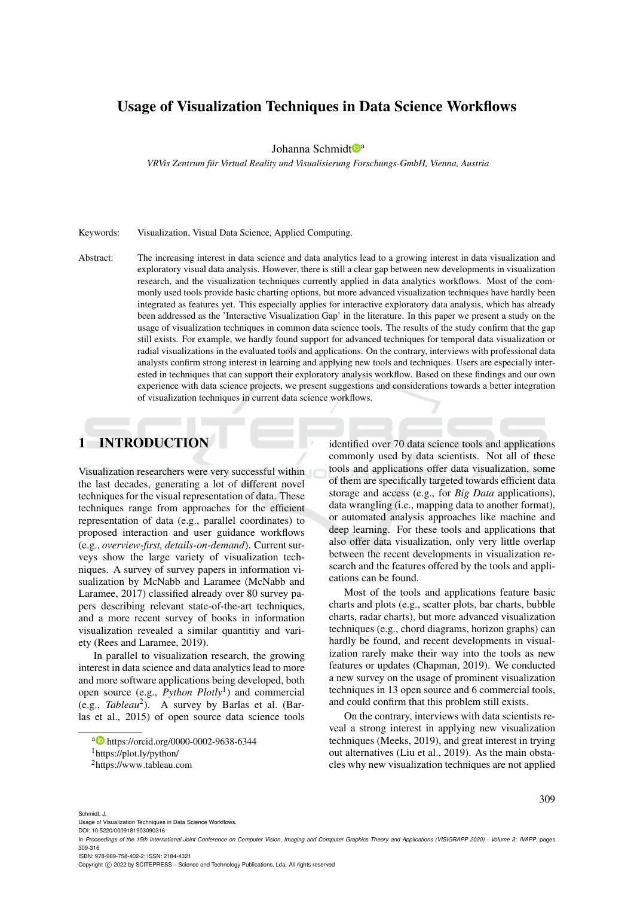## Usage of Visualization Techniques in Data Science Workflows

Johanna Schmidt<sup>oa</sup>

*VRVis Zentrum fur Virtual Reality und Visualisierung Forschungs-GmbH, Vienna, Austria ¨*

Keywords: Visualization, Visual Data Science, Applied Computing.

Abstract: The increasing interest in data science and data analytics lead to a growing interest in data visualization and exploratory visual data analysis. However, there is still a clear gap between new developments in visualization research, and the visualization techniques currently applied in data analytics workflows. Most of the commonly used tools provide basic charting options, but more advanced visualization techniques have hardly been integrated as features yet. This especially applies for interactive exploratory data analysis, which has already been addressed as the 'Interactive Visualization Gap' in the literature. In this paper we present a study on the usage of visualization techniques in common data science tools. The results of the study confirm that the gap still exists. For example, we hardly found support for advanced techniques for temporal data visualization or radial visualizations in the evaluated tools and applications. On the contrary, interviews with professional data analysts confirm strong interest in learning and applying new tools and techniques. Users are especially interested in techniques that can support their exploratory analysis workflow. Based on these findings and our own experience with data science projects, we present suggestions and considerations towards a better integration of visualization techniques in current data science workflows.

# 1 INTRODUCTION

Visualization researchers were very successful within the last decades, generating a lot of different novel techniques for the visual representation of data. These techniques range from approaches for the efficient representation of data (e.g., parallel coordinates) to proposed interaction and user guidance workflows (e.g., *overview-first, details-on-demand*). Current surveys show the large variety of visualization techniques. A survey of survey papers in information visualization by McNabb and Laramee (McNabb and Laramee, 2017) classified already over 80 survey papers describing relevant state-of-the-art techniques, and a more recent survey of books in information visualization revealed a similar quantitiy and variety (Rees and Laramee, 2019).

In parallel to visualization research, the growing interest in data science and data analytics lead to more and more software applications being developed, both open source (e.g., *Python Plotly*<sup>1</sup> ) and commercial (e.g., *Tableau*<sup>2</sup> ). A survey by Barlas et al. (Barlas et al., 2015) of open source data science tools identified over 70 data science tools and applications commonly used by data scientists. Not all of these tools and applications offer data visualization, some of them are specifically targeted towards efficient data storage and access (e.g., for *Big Data* applications), data wrangling (i.e., mapping data to another format), or automated analysis approaches like machine and deep learning. For these tools and applications that also offer data visualization, only very little overlap between the recent developments in visualization research and the features offered by the tools and applications can be found.

Most of the tools and applications feature basic charts and plots (e.g., scatter plots, bar charts, bubble charts, radar charts), but more advanced visualization techniques (e.g., chord diagrams, horizon graphs) can hardly be found, and recent developments in visualization rarely make their way into the tools as new features or updates (Chapman, 2019). We conducted a new survey on the usage of prominent visualization techniques in 13 open source and 6 commercial tools, and could confirm that this problem still exists.

On the contrary, interviews with data scientists reveal a strong interest in applying new visualization techniques (Meeks, 2019), and great interest in trying out alternatives (Liu et al., 2019). As the main obstacles why new visualization techniques are not applied

Schmidt, J.

Usage of Visualization Techniques in Data Science Workflows. DOI: 10.5220/0009181903090316

Copyright (C) 2022 by SCITEPRESS - Science and Technology Publications, Lda. All rights reserved

<sup>a</sup> https://orcid.org/0000-0002-9638-6344

<sup>1</sup>https://plot.ly/python/

<sup>2</sup>https://www.tableau.com

In *Proceedings of the 15th International Joint Conference on Computer Vision, Imaging and Computer Graphics Theory and Applications (VISIGRAPP 2020) - Volume 3: IVAPP*, pages 309-316

ISBN: 978-989-758-402-2; ISSN: 2184-4321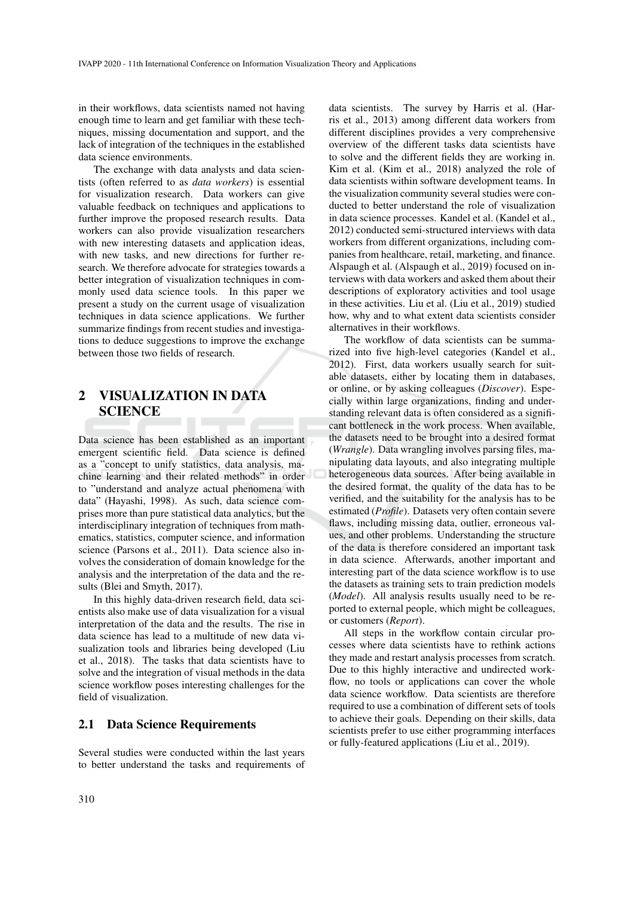in their workflows, data scientists named not having enough time to learn and get familiar with these techniques, missing documentation and support, and the lack of integration of the techniques in the established data science environments.

The exchange with data analysts and data scientists (often referred to as *data workers*) is essential for visualization research. Data workers can give valuable feedback on techniques and applications to further improve the proposed research results. Data workers can also provide visualization researchers with new interesting datasets and application ideas, with new tasks, and new directions for further research. We therefore advocate for strategies towards a better integration of visualization techniques in commonly used data science tools. In this paper we present a study on the current usage of visualization techniques in data science applications. We further summarize findings from recent studies and investigations to deduce suggestions to improve the exchange between those two fields of research.

## 2 VISUALIZATION IN DATA **SCIENCE**

Data science has been established as an important emergent scientific field. Data science is defined as a "concept to unify statistics, data analysis, machine learning and their related methods" in order to "understand and analyze actual phenomena with data" (Hayashi, 1998). As such, data science comprises more than pure statistical data analytics, but the interdisciplinary integration of techniques from mathematics, statistics, computer science, and information science (Parsons et al., 2011). Data science also involves the consideration of domain knowledge for the analysis and the interpretation of the data and the results (Blei and Smyth, 2017).

In this highly data-driven research field, data scientists also make use of data visualization for a visual interpretation of the data and the results. The rise in data science has lead to a multitude of new data visualization tools and libraries being developed (Liu et al., 2018). The tasks that data scientists have to solve and the integration of visual methods in the data science workflow poses interesting challenges for the field of visualization.

### 2.1 Data Science Requirements

Several studies were conducted within the last years to better understand the tasks and requirements of data scientists. The survey by Harris et al. (Harris et al., 2013) among different data workers from different disciplines provides a very comprehensive overview of the different tasks data scientists have to solve and the different fields they are working in. Kim et al. (Kim et al., 2018) analyzed the role of data scientists within software development teams. In the visualization community several studies were conducted to better understand the role of visualization in data science processes. Kandel et al. (Kandel et al., 2012) conducted semi-structured interviews with data workers from different organizations, including companies from healthcare, retail, marketing, and finance. Alspaugh et al. (Alspaugh et al., 2019) focused on interviews with data workers and asked them about their descriptions of exploratory activities and tool usage in these activities. Liu et al. (Liu et al., 2019) studied how, why and to what extent data scientists consider alternatives in their workflows.

The workflow of data scientists can be summarized into five high-level categories (Kandel et al., 2012). First, data workers usually search for suitable datasets, either by locating them in databases, or online, or by asking colleagues (*Discover*). Especially within large organizations, finding and understanding relevant data is often considered as a significant bottleneck in the work process. When available, the datasets need to be brought into a desired format (*Wrangle*). Data wrangling involves parsing files, manipulating data layouts, and also integrating multiple heterogeneous data sources. After being available in the desired format, the quality of the data has to be verified, and the suitability for the analysis has to be estimated (*Profile*). Datasets very often contain severe flaws, including missing data, outlier, erroneous values, and other problems. Understanding the structure of the data is therefore considered an important task in data science. Afterwards, another important and interesting part of the data science workflow is to use the datasets as training sets to train prediction models (*Model*). All analysis results usually need to be reported to external people, which might be colleagues, or customers (*Report*).

All steps in the workflow contain circular processes where data scientists have to rethink actions they made and restart analysis processes from scratch. Due to this highly interactive and undirected workflow, no tools or applications can cover the whole data science workflow. Data scientists are therefore required to use a combination of different sets of tools to achieve their goals. Depending on their skills, data scientists prefer to use either programming interfaces or fully-featured applications (Liu et al., 2019).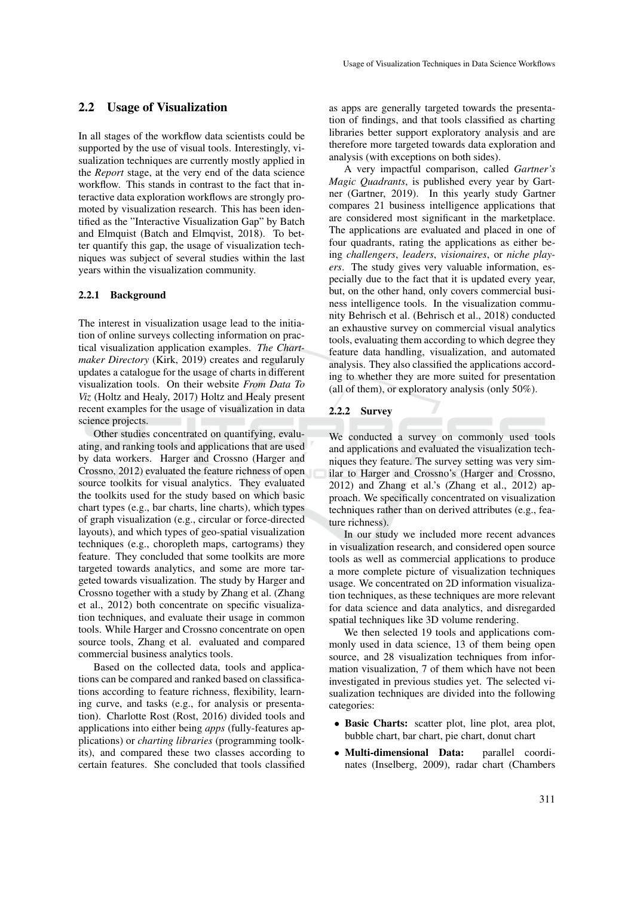### 2.2 Usage of Visualization

In all stages of the workflow data scientists could be supported by the use of visual tools. Interestingly, visualization techniques are currently mostly applied in the *Report* stage, at the very end of the data science workflow. This stands in contrast to the fact that interactive data exploration workflows are strongly promoted by visualization research. This has been identified as the "Interactive Visualization Gap" by Batch and Elmquist (Batch and Elmqvist, 2018). To better quantify this gap, the usage of visualization techniques was subject of several studies within the last years within the visualization community.

### 2.2.1 Background

The interest in visualization usage lead to the initiation of online surveys collecting information on practical visualization application examples. *The Chartmaker Directory* (Kirk, 2019) creates and regularuly updates a catalogue for the usage of charts in different visualization tools. On their website *From Data To Viz* (Holtz and Healy, 2017) Holtz and Healy present recent examples for the usage of visualization in data science projects.

Other studies concentrated on quantifying, evaluating, and ranking tools and applications that are used by data workers. Harger and Crossno (Harger and Crossno, 2012) evaluated the feature richness of open source toolkits for visual analytics. They evaluated the toolkits used for the study based on which basic chart types (e.g., bar charts, line charts), which types of graph visualization (e.g., circular or force-directed layouts), and which types of geo-spatial visualization techniques (e.g., choropleth maps, cartograms) they feature. They concluded that some toolkits are more targeted towards analytics, and some are more targeted towards visualization. The study by Harger and Crossno together with a study by Zhang et al. (Zhang et al., 2012) both concentrate on specific visualization techniques, and evaluate their usage in common tools. While Harger and Crossno concentrate on open source tools, Zhang et al. evaluated and compared commercial business analytics tools.

Based on the collected data, tools and applications can be compared and ranked based on classifications according to feature richness, flexibility, learning curve, and tasks (e.g., for analysis or presentation). Charlotte Rost (Rost, 2016) divided tools and applications into either being *apps* (fully-features applications) or *charting libraries* (programming toolkits), and compared these two classes according to certain features. She concluded that tools classified as apps are generally targeted towards the presentation of findings, and that tools classified as charting libraries better support exploratory analysis and are therefore more targeted towards data exploration and analysis (with exceptions on both sides).

A very impactful comparison, called *Gartner's Magic Quadrants*, is published every year by Gartner (Gartner, 2019). In this yearly study Gartner compares 21 business intelligence applications that are considered most significant in the marketplace. The applications are evaluated and placed in one of four quadrants, rating the applications as either being *challengers*, *leaders*, *visionaires*, or *niche players*. The study gives very valuable information, especially due to the fact that it is updated every year, but, on the other hand, only covers commercial business intelligence tools. In the visualization community Behrisch et al. (Behrisch et al., 2018) conducted an exhaustive survey on commercial visual analytics tools, evaluating them according to which degree they feature data handling, visualization, and automated analysis. They also classified the applications according to whether they are more suited for presentation (all of them), or exploratory analysis (only 50%).

#### 2.2.2 Survey

We conducted a survey on commonly used tools and applications and evaluated the visualization techniques they feature. The survey setting was very similar to Harger and Crossno's (Harger and Crossno, 2012) and Zhang et al.'s (Zhang et al., 2012) approach. We specifically concentrated on visualization techniques rather than on derived attributes (e.g., feature richness).

In our study we included more recent advances in visualization research, and considered open source tools as well as commercial applications to produce a more complete picture of visualization techniques usage. We concentrated on 2D information visualization techniques, as these techniques are more relevant for data science and data analytics, and disregarded spatial techniques like 3D volume rendering.

We then selected 19 tools and applications commonly used in data science, 13 of them being open source, and 28 visualization techniques from information visualization, 7 of them which have not been investigated in previous studies yet. The selected visualization techniques are divided into the following categories:

- Basic Charts: scatter plot, line plot, area plot, bubble chart, bar chart, pie chart, donut chart
- Multi-dimensional Data: parallel coordinates (Inselberg, 2009), radar chart (Chambers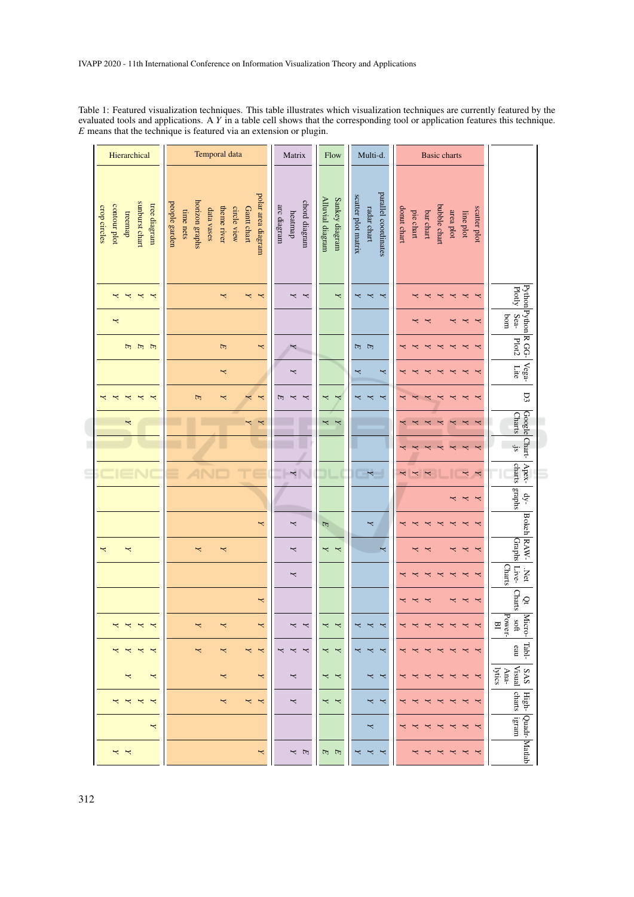Table 1: Featured visualization techniques. This table illustrates which visualization techniques are currently featured by the evaluated tools and applications. A *Y* in a table cell shows that the corresponding tool or application features this technique. *E* means that the technique is featured via an extension or plugin.

| Hierarchical                                                              | Temporal data                                                                                                                 | Matrix                                  | Flow                               | Multi-d.                                                   | <b>Basic charts</b>                                                                             |                                                               |
|---------------------------------------------------------------------------|-------------------------------------------------------------------------------------------------------------------------------|-----------------------------------------|------------------------------------|------------------------------------------------------------|-------------------------------------------------------------------------------------------------|---------------------------------------------------------------|
| sunburst chart<br>tree diagram<br>contour plot<br>crop circles<br>treemap | polar area diagram<br>horizon graphs<br>people garden<br>theme river<br>circle view<br>Gantt chart<br>data vases<br>time nets | chord diagram<br>arc diagram<br>heatmap | Alluvial diagram<br>Sankey diagram | parallel coordinates<br>scatter plot matrix<br>radar chart | bubble chart<br>donut chart<br>scatter plot<br>pie chart<br>bar chart<br>area plot<br>line plot |                                                               |
| Z<br>$\overline{\mathbf{r}}$<br>$\overline{\phantom{0}}$<br>Z             | z<br>Z<br>z                                                                                                                   | Z<br>Z                                  | Z                                  | Z<br>z<br>Σ                                                | ≺<br>≺                                                                                          |                                                               |
| Z                                                                         |                                                                                                                               |                                         |                                    |                                                            | ≺                                                                                               | Python Python R GG-<br>Plotly Sea-Plot2<br>$\log$             |
| <b>HHHH</b>                                                               | $\begin{array}{c} \hline \end{array}$<br>Z                                                                                    |                                         |                                    | 日 日                                                        | ≺                                                                                               |                                                               |
|                                                                           | Z                                                                                                                             | Z                                       |                                    | Z<br>z                                                     |                                                                                                 | $ \text{Vega}$<br>Lite                                        |
| ≺                                                                         | $\mathbf \mu$<br>Σ<br>Y<br>Z                                                                                                  | E<br>Z<br>Z                             | ≺<br>Y                             | ≺<br>≺<br>≺                                                |                                                                                                 | D3                                                            |
| χ                                                                         | Z<br>Z                                                                                                                        |                                         | Z<br>Z                             |                                                            |                                                                                                 | Google Chart-<br><b>Charts</b>                                |
|                                                                           |                                                                                                                               |                                         |                                    |                                                            |                                                                                                 | $\cdot$ js                                                    |
|                                                                           |                                                                                                                               | $\overline{\phantom{a}}$                |                                    | $\overline{\mathbf{r}}$                                    | Z<br>Y<br>Z<br>Z                                                                                | Apex-                                                         |
|                                                                           |                                                                                                                               |                                         |                                    |                                                            | ≺                                                                                               | charts graphs<br>$dy-$                                        |
|                                                                           | Z                                                                                                                             | Z                                       | E                                  | Y                                                          |                                                                                                 |                                                               |
| z<br>z                                                                    | z<br>z                                                                                                                        | Z                                       | Z<br>z                             | Σ                                                          | ≺<br>≺                                                                                          | <b>Bokeh</b> RAW-<br>Graphs                                   |
|                                                                           |                                                                                                                               | Z                                       |                                    |                                                            | ≺                                                                                               | <b>Charts</b><br>.<br>Net<br>Live-                            |
|                                                                           | Z                                                                                                                             |                                         |                                    |                                                            | Z<br>Z<br>≺                                                                                     | Charts<br>$\tilde{Q}$                                         |
|                                                                           |                                                                                                                               |                                         |                                    |                                                            |                                                                                                 | Power-<br>Micro-<br>$\mathfrak{g}$<br>$\overline{\mathbf{B}}$ |
| $\overline{X}$ $\overline{X}$<br>Z<br>$\overline{\mathbf{r}}$             | Z<br>Z<br>Z<br>z                                                                                                              | z<br>$\overline{\phantom{a}}$<br>Z      | Z<br>Z                             | Z<br>Z<br>Z                                                | z<br>Z<br>z<br>Z<br>Z<br>Z<br>≺                                                                 | Tabl-<br>eau                                                  |
| z<br>Z                                                                    | Z<br>Z                                                                                                                        | Z                                       | Z<br>Z                             | z<br>Z                                                     | Σ<br>≺<br>↢<br>≺<br>≺<br>↢                                                                      | [Visual<br>lytics<br>Ana-<br>SAS                              |
| Z<br>$\overline{\phantom{0}}$<br>Z<br>Z                                   | Z<br>z<br>z                                                                                                                   | Z                                       | Z<br>Z                             | Z<br>Σ                                                     | Z<br>$\overline{\phantom{0}}$<br>↢<br>≺<br>≺                                                    | charts<br>High-                                               |
| z                                                                         |                                                                                                                               |                                         |                                    | z                                                          | $\overline{\phantom{0}}$<br>≺<br>↢<br>Z<br>↢<br>≺<br>$\prec$                                    | ligram<br>Quadr-Matlab                                        |
| × ×                                                                       | z                                                                                                                             | Y<br>$\mathbb{F}$                       | দে দে                              | Z<br>Z<br>≺                                                | Z<br>↢<br>≺<br>≺<br>Z                                                                           |                                                               |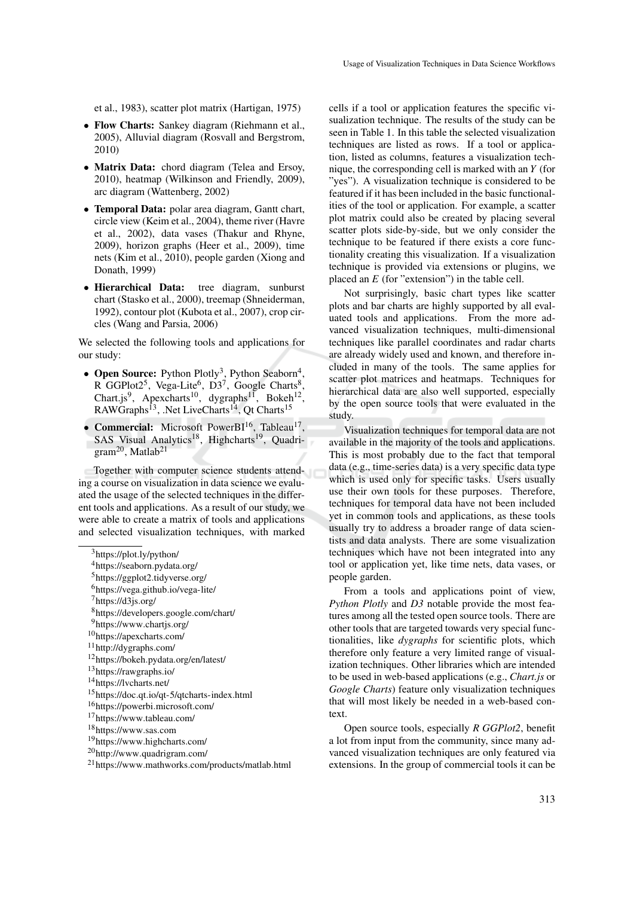et al., 1983), scatter plot matrix (Hartigan, 1975)

- Flow Charts: Sankey diagram (Riehmann et al., 2005), Alluvial diagram (Rosvall and Bergstrom, 2010)
- Matrix Data: chord diagram (Telea and Ersoy, 2010), heatmap (Wilkinson and Friendly, 2009), arc diagram (Wattenberg, 2002)
- Temporal Data: polar area diagram, Gantt chart, circle view (Keim et al., 2004), theme river (Havre et al., 2002), data vases (Thakur and Rhyne, 2009), horizon graphs (Heer et al., 2009), time nets (Kim et al., 2010), people garden (Xiong and Donath, 1999)
- Hierarchical Data: tree diagram, sunburst chart (Stasko et al., 2000), treemap (Shneiderman, 1992), contour plot (Kubota et al., 2007), crop circles (Wang and Parsia, 2006)

We selected the following tools and applications for our study:

- Open Source: Python Plotly<sup>3</sup>, Python Seaborn<sup>4</sup>, R GGPlot2<sup>5</sup>, Vega-Lite<sup>6</sup>, D3<sup>7</sup>, Google Charts<sup>8</sup>, Chart.js<sup>9</sup>, Apexcharts<sup>10</sup>, dygraphs<sup>11</sup>, Bokeh<sup>12</sup>, RAWGraphs<sup>13</sup>, .Net LiveCharts<sup>14</sup>, Qt Charts<sup>15</sup>
- Commercial: Microsoft PowerBI<sup>16</sup>, Tableau<sup>17</sup>, SAS Visual Analytics<sup>18</sup>, Highcharts<sup>19</sup>, Quadrigram<sup>20</sup>, Matlab<sup>21</sup>

Together with computer science students attending a course on visualization in data science we evaluated the usage of the selected techniques in the different tools and applications. As a result of our study, we were able to create a matrix of tools and applications and selected visualization techniques, with marked

<sup>6</sup>https://vega.github.io/vega-lite/

cells if a tool or application features the specific visualization technique. The results of the study can be seen in Table 1. In this table the selected visualization techniques are listed as rows. If a tool or application, listed as columns, features a visualization technique, the corresponding cell is marked with an *Y* (for "yes"). A visualization technique is considered to be featured if it has been included in the basic functionalities of the tool or application. For example, a scatter plot matrix could also be created by placing several scatter plots side-by-side, but we only consider the technique to be featured if there exists a core functionality creating this visualization. If a visualization technique is provided via extensions or plugins, we placed an *E* (for "extension") in the table cell.

Not surprisingly, basic chart types like scatter plots and bar charts are highly supported by all evaluated tools and applications. From the more advanced visualization techniques, multi-dimensional techniques like parallel coordinates and radar charts are already widely used and known, and therefore included in many of the tools. The same applies for scatter plot matrices and heatmaps. Techniques for hierarchical data are also well supported, especially by the open source tools that were evaluated in the study.

Visualization techniques for temporal data are not available in the majority of the tools and applications. This is most probably due to the fact that temporal data (e.g., time-series data) is a very specific data type which is used only for specific tasks. Users usually use their own tools for these purposes. Therefore, techniques for temporal data have not been included yet in common tools and applications, as these tools usually try to address a broader range of data scientists and data analysts. There are some visualization techniques which have not been integrated into any tool or application yet, like time nets, data vases, or people garden.

From a tools and applications point of view, *Python Plotly* and *D3* notable provide the most features among all the tested open source tools. There are other tools that are targeted towards very special functionalities, like *dygraphs* for scientific plots, which therefore only feature a very limited range of visualization techniques. Other libraries which are intended to be used in web-based applications (e.g., *Chart.js* or *Google Charts*) feature only visualization techniques that will most likely be needed in a web-based context.

Open source tools, especially *R GGPlot2*, benefit a lot from input from the community, since many advanced visualization techniques are only featured via extensions. In the group of commercial tools it can be

<sup>3</sup>https://plot.ly/python/

<sup>4</sup>https://seaborn.pydata.org/

<sup>5</sup>https://ggplot2.tidyverse.org/

 $7$ https://d3js.org/

<sup>8</sup>https://developers.google.com/chart/

<sup>9</sup>https://www.chartjs.org/

<sup>10</sup>https://apexcharts.com/

<sup>11</sup>http://dygraphs.com/

<sup>12</sup>https://bokeh.pydata.org/en/latest/

<sup>13</sup>https://rawgraphs.io/

<sup>14</sup>https://lvcharts.net/

<sup>15</sup>https://doc.qt.io/qt-5/qtcharts-index.html

<sup>16</sup>https://powerbi.microsoft.com/

<sup>17</sup>https://www.tableau.com/

<sup>18</sup>https://www.sas.com

<sup>19</sup>https://www.highcharts.com/

<sup>20</sup>http://www.quadrigram.com/

<sup>21</sup>https://www.mathworks.com/products/matlab.html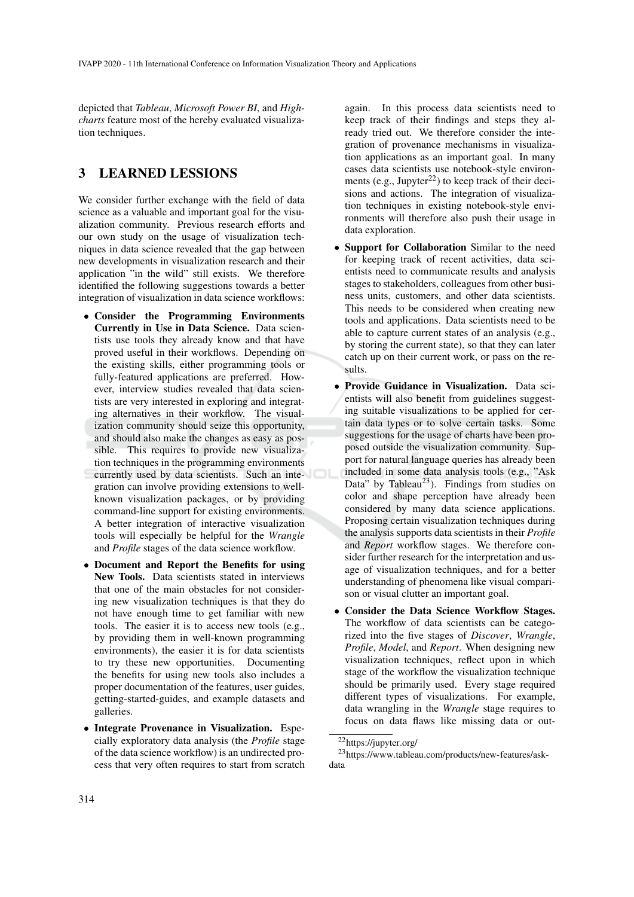depicted that *Tableau*, *Microsoft Power BI*, and *Highcharts* feature most of the hereby evaluated visualization techniques.

## 3 LEARNED LESSIONS

We consider further exchange with the field of data science as a valuable and important goal for the visualization community. Previous research efforts and our own study on the usage of visualization techniques in data science revealed that the gap between new developments in visualization research and their application "in the wild" still exists. We therefore identified the following suggestions towards a better integration of visualization in data science workflows:

- Consider the Programming Environments Currently in Use in Data Science. Data scientists use tools they already know and that have proved useful in their workflows. Depending on the existing skills, either programming tools or fully-featured applications are preferred. However, interview studies revealed that data scientists are very interested in exploring and integrating alternatives in their workflow. The visualization community should seize this opportunity, and should also make the changes as easy as possible. This requires to provide new visualization techniques in the programming environments currently used by data scientists. Such an integration can involve providing extensions to wellknown visualization packages, or by providing command-line support for existing environments. A better integration of interactive visualization tools will especially be helpful for the *Wrangle* and *Profile* stages of the data science workflow.
- Document and Report the Benefits for using New Tools. Data scientists stated in interviews that one of the main obstacles for not considering new visualization techniques is that they do not have enough time to get familiar with new tools. The easier it is to access new tools (e.g., by providing them in well-known programming environments), the easier it is for data scientists to try these new opportunities. Documenting the benefits for using new tools also includes a proper documentation of the features, user guides, getting-started-guides, and example datasets and galleries.
- Integrate Provenance in Visualization. Especially exploratory data analysis (the *Profile* stage of the data science workflow) is an undirected process that very often requires to start from scratch

again. In this process data scientists need to keep track of their findings and steps they already tried out. We therefore consider the integration of provenance mechanisms in visualization applications as an important goal. In many cases data scientists use notebook-style environments (e.g., Jupyter $^{22}$ ) to keep track of their decisions and actions. The integration of visualization techniques in existing notebook-style environments will therefore also push their usage in data exploration.

- Support for Collaboration Similar to the need for keeping track of recent activities, data scientists need to communicate results and analysis stages to stakeholders, colleagues from other business units, customers, and other data scientists. This needs to be considered when creating new tools and applications. Data scientists need to be able to capture current states of an analysis (e.g., by storing the current state), so that they can later catch up on their current work, or pass on the results.
- Provide Guidance in Visualization. Data scientists will also benefit from guidelines suggesting suitable visualizations to be applied for certain data types or to solve certain tasks. Some suggestions for the usage of charts have been proposed outside the visualization community. Support for natural language queries has already been included in some data analysis tools (e.g., "Ask Data" by Tableau<sup>23</sup>). Findings from studies on color and shape perception have already been considered by many data science applications. Proposing certain visualization techniques during the analysis supports data scientists in their *Profile* and *Report* workflow stages. We therefore consider further research for the interpretation and usage of visualization techniques, and for a better understanding of phenomena like visual comparison or visual clutter an important goal.
- Consider the Data Science Workflow Stages. The workflow of data scientists can be categorized into the five stages of *Discover*, *Wrangle*, *Profile*, *Model*, and *Report*. When designing new visualization techniques, reflect upon in which stage of the workflow the visualization technique should be primarily used. Every stage required different types of visualizations. For example, data wrangling in the *Wrangle* stage requires to focus on data flaws like missing data or out-

<sup>22</sup>https://jupyter.org/

<sup>23</sup>https://www.tableau.com/products/new-features/askdata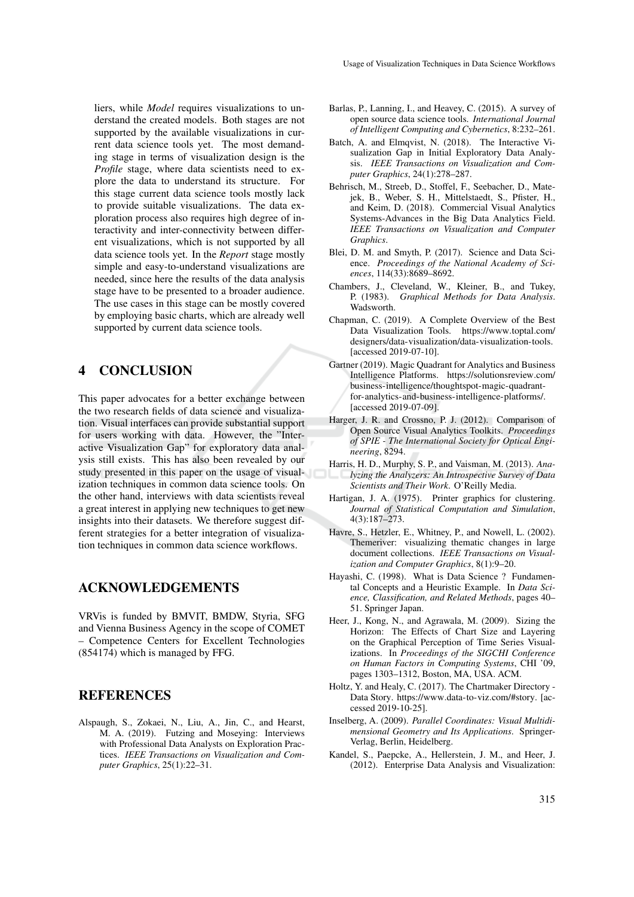liers, while *Model* requires visualizations to understand the created models. Both stages are not supported by the available visualizations in current data science tools yet. The most demanding stage in terms of visualization design is the *Profile* stage, where data scientists need to explore the data to understand its structure. For this stage current data science tools mostly lack to provide suitable visualizations. The data exploration process also requires high degree of interactivity and inter-connectivity between different visualizations, which is not supported by all data science tools yet. In the *Report* stage mostly simple and easy-to-understand visualizations are needed, since here the results of the data analysis stage have to be presented to a broader audience. The use cases in this stage can be mostly covered by employing basic charts, which are already well supported by current data science tools.

## 4 CONCLUSION

This paper advocates for a better exchange between the two research fields of data science and visualization. Visual interfaces can provide substantial support for users working with data. However, the "Interactive Visualization Gap" for exploratory data analysis still exists. This has also been revealed by our study presented in this paper on the usage of visualization techniques in common data science tools. On the other hand, interviews with data scientists reveal a great interest in applying new techniques to get new insights into their datasets. We therefore suggest different strategies for a better integration of visualization techniques in common data science workflows.

### ACKNOWLEDGEMENTS

VRVis is funded by BMVIT, BMDW, Styria, SFG and Vienna Business Agency in the scope of COMET – Competence Centers for Excellent Technologies (854174) which is managed by FFG.

### **REFERENCES**

Alspaugh, S., Zokaei, N., Liu, A., Jin, C., and Hearst, M. A. (2019). Futzing and Moseying: Interviews with Professional Data Analysts on Exploration Practices. *IEEE Transactions on Visualization and Computer Graphics*, 25(1):22–31.

- Barlas, P., Lanning, I., and Heavey, C. (2015). A survey of open source data science tools. *International Journal of Intelligent Computing and Cybernetics*, 8:232–261.
- Batch, A. and Elmqvist, N. (2018). The Interactive Visualization Gap in Initial Exploratory Data Analysis. *IEEE Transactions on Visualization and Computer Graphics*, 24(1):278–287.
- Behrisch, M., Streeb, D., Stoffel, F., Seebacher, D., Matejek, B., Weber, S. H., Mittelstaedt, S., Pfister, H., and Keim, D. (2018). Commercial Visual Analytics Systems-Advances in the Big Data Analytics Field. *IEEE Transactions on Visualization and Computer Graphics*.
- Blei, D. M. and Smyth, P. (2017). Science and Data Science. *Proceedings of the National Academy of Sciences*, 114(33):8689–8692.
- Chambers, J., Cleveland, W., Kleiner, B., and Tukey, P. (1983). *Graphical Methods for Data Analysis*. Wadsworth.
- Chapman, C. (2019). A Complete Overview of the Best Data Visualization Tools. https://www.toptal.com/ designers/data-visualization/data-visualization-tools. [accessed 2019-07-10].
- Gartner (2019). Magic Quadrant for Analytics and Business Intelligence Platforms. https://solutionsreview.com/ business-intelligence/thoughtspot-magic-quadrantfor-analytics-and-business-intelligence-platforms/. [accessed 2019-07-09].
- Harger, J. R. and Crossno, P. J. (2012). Comparison of Open Source Visual Analytics Toolkits. *Proceedings of SPIE - The International Society for Optical Engineering*, 8294.
- Harris, H. D., Murphy, S. P., and Vaisman, M. (2013). *Analyzing the Analyzers: An Introspective Survey of Data Scientists and Their Work*. O'Reilly Media.
- Hartigan, J. A. (1975). Printer graphics for clustering. *Journal of Statistical Computation and Simulation*, 4(3):187–273.
- Havre, S., Hetzler, E., Whitney, P., and Nowell, L. (2002). Themeriver: visualizing thematic changes in large document collections. *IEEE Transactions on Visualization and Computer Graphics*, 8(1):9–20.
- Hayashi, C. (1998). What is Data Science ? Fundamental Concepts and a Heuristic Example. In *Data Science, Classification, and Related Methods*, pages 40– 51. Springer Japan.
- Heer, J., Kong, N., and Agrawala, M. (2009). Sizing the Horizon: The Effects of Chart Size and Layering on the Graphical Perception of Time Series Visualizations. In *Proceedings of the SIGCHI Conference on Human Factors in Computing Systems*, CHI '09, pages 1303–1312, Boston, MA, USA. ACM.
- Holtz, Y. and Healy, C. (2017). The Chartmaker Directory Data Story. https://www.data-to-viz.com/#story. [accessed 2019-10-25].
- Inselberg, A. (2009). *Parallel Coordinates: Visual Multidimensional Geometry and Its Applications*. Springer-Verlag, Berlin, Heidelberg.
- Kandel, S., Paepcke, A., Hellerstein, J. M., and Heer, J. (2012). Enterprise Data Analysis and Visualization: